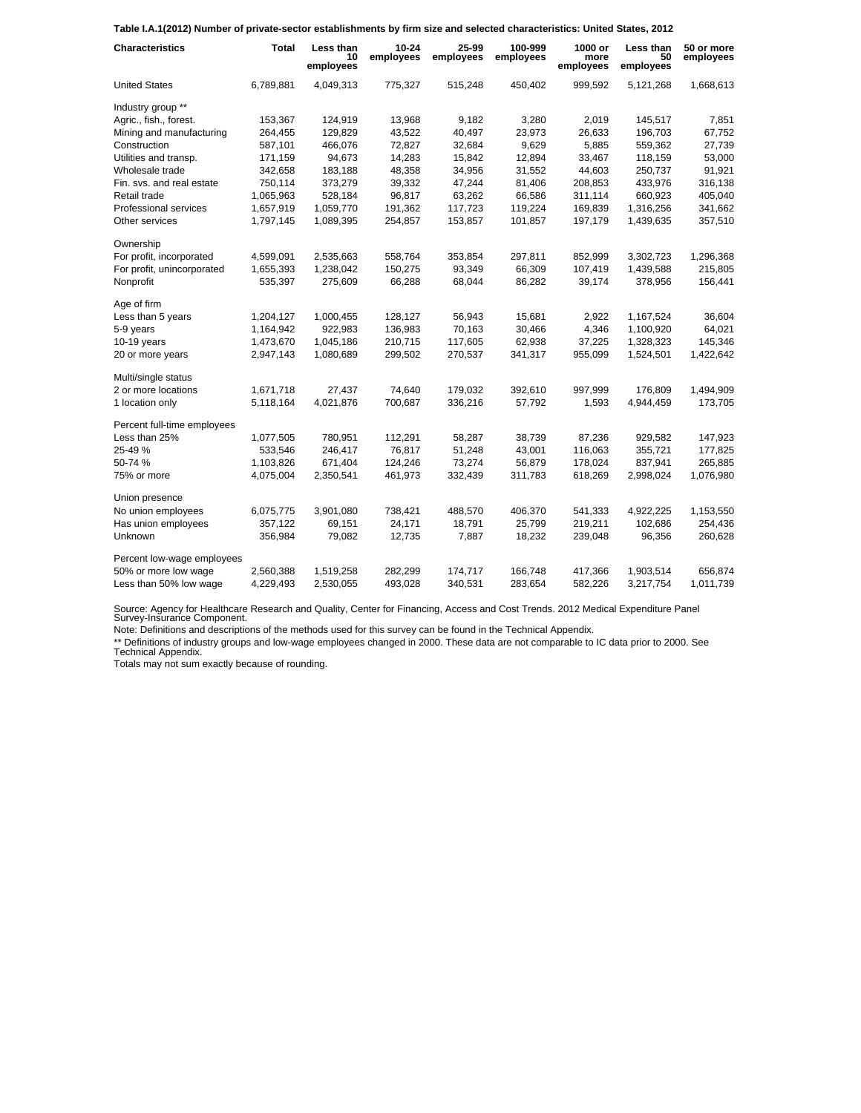**Table I.A.1(2012) Number of private-sector establishments by firm size and selected characteristics: United States, 2012**

| <b>Characteristics</b>      | <b>Total</b> | Less than<br>10<br>employees | 10-24<br>employees | 25-99<br>employees | 100-999<br>employees | 1000 or<br>more<br>employees | Less than<br>50<br>employees | 50 or more<br>employees |
|-----------------------------|--------------|------------------------------|--------------------|--------------------|----------------------|------------------------------|------------------------------|-------------------------|
| <b>United States</b>        | 6,789,881    | 4,049,313                    | 775,327            | 515,248            | 450.402              | 999,592                      | 5.121.268                    | 1,668,613               |
| Industry group **           |              |                              |                    |                    |                      |                              |                              |                         |
| Agric., fish., forest.      | 153,367      | 124,919                      | 13,968             | 9,182              | 3,280                | 2,019                        | 145,517                      | 7,851                   |
| Mining and manufacturing    | 264,455      | 129,829                      | 43,522             | 40,497             | 23,973               | 26,633                       | 196,703                      | 67,752                  |
| Construction                | 587,101      | 466,076                      | 72,827             | 32,684             | 9,629                | 5,885                        | 559,362                      | 27,739                  |
| Utilities and transp.       | 171,159      | 94,673                       | 14,283             | 15,842             | 12,894               | 33,467                       | 118,159                      | 53,000                  |
| Wholesale trade             | 342,658      | 183,188                      | 48,358             | 34,956             | 31,552               | 44,603                       | 250,737                      | 91,921                  |
| Fin. svs. and real estate   | 750,114      | 373,279                      | 39,332             | 47,244             | 81,406               | 208,853                      | 433,976                      | 316,138                 |
| Retail trade                | 1,065,963    | 528,184                      | 96,817             | 63,262             | 66,586               | 311,114                      | 660,923                      | 405,040                 |
| Professional services       | 1,657,919    | 1,059,770                    | 191,362            | 117,723            | 119,224              | 169,839                      | 1,316,256                    | 341,662                 |
| Other services              | 1,797,145    | 1,089,395                    | 254,857            | 153,857            | 101,857              | 197,179                      | 1,439,635                    | 357,510                 |
| Ownership                   |              |                              |                    |                    |                      |                              |                              |                         |
| For profit, incorporated    | 4,599,091    | 2,535,663                    | 558,764            | 353,854            | 297,811              | 852,999                      | 3,302,723                    | 1,296,368               |
| For profit, unincorporated  | 1,655,393    | 1,238,042                    | 150,275            | 93,349             | 66,309               | 107,419                      | 1,439,588                    | 215,805                 |
| Nonprofit                   | 535,397      | 275,609                      | 66,288             | 68,044             | 86,282               | 39,174                       | 378,956                      | 156,441                 |
| Age of firm                 |              |                              |                    |                    |                      |                              |                              |                         |
| Less than 5 years           | 1,204,127    | 1,000,455                    | 128,127            | 56,943             | 15,681               | 2,922                        | 1,167,524                    | 36,604                  |
| 5-9 years                   | 1,164,942    | 922,983                      | 136,983            | 70,163             | 30,466               | 4,346                        | 1,100,920                    | 64,021                  |
| $10-19$ years               | 1,473,670    | 1,045,186                    | 210,715            | 117,605            | 62,938               | 37,225                       | 1,328,323                    | 145,346                 |
| 20 or more years            | 2,947,143    | 1,080,689                    | 299,502            | 270,537            | 341,317              | 955,099                      | 1,524,501                    | 1,422,642               |
| Multi/single status         |              |                              |                    |                    |                      |                              |                              |                         |
| 2 or more locations         | 1,671,718    | 27,437                       | 74,640             | 179,032            | 392,610              | 997,999                      | 176.809                      | 1,494,909               |
| 1 location only             | 5,118,164    | 4,021,876                    | 700,687            | 336,216            | 57,792               | 1,593                        | 4,944,459                    | 173,705                 |
| Percent full-time employees |              |                              |                    |                    |                      |                              |                              |                         |
| Less than 25%               | 1,077,505    | 780,951                      | 112,291            | 58,287             | 38,739               | 87,236                       | 929,582                      | 147,923                 |
| 25-49 %                     | 533,546      | 246,417                      | 76,817             | 51,248             | 43,001               | 116,063                      | 355,721                      | 177,825                 |
| 50-74 %                     | 1,103,826    | 671,404                      | 124,246            | 73,274             | 56,879               | 178,024                      | 837,941                      | 265,885                 |
| 75% or more                 | 4,075,004    | 2,350,541                    | 461,973            | 332,439            | 311,783              | 618,269                      | 2,998,024                    | 1,076,980               |
| Union presence              |              |                              |                    |                    |                      |                              |                              |                         |
| No union employees          | 6,075,775    | 3,901,080                    | 738,421            | 488,570            | 406,370              | 541,333                      | 4,922,225                    | 1,153,550               |
| Has union employees         | 357,122      | 69,151                       | 24,171             | 18,791             | 25,799               | 219,211                      | 102,686                      | 254,436                 |
| Unknown                     | 356,984      | 79,082                       | 12,735             | 7,887              | 18,232               | 239,048                      | 96,356                       | 260,628                 |
| Percent low-wage employees  |              |                              |                    |                    |                      |                              |                              |                         |
| 50% or more low wage        | 2,560,388    | 1,519,258                    | 282,299            | 174,717            | 166,748              | 417,366                      | 1,903,514                    | 656,874                 |
| Less than 50% low wage      | 4,229,493    | 2,530,055                    | 493,028            | 340,531            | 283,654              | 582,226                      | 3,217,754                    | 1,011,739               |

Source: Agency for Healthcare Research and Quality, Center for Financing, Access and Cost Trends. 2012 Medical Expenditure Panel Survey-Insurance Component.

Note: Definitions and descriptions of the methods used for this survey can be found in the Technical Appendix.

\*\* Definitions of industry groups and low-wage employees changed in 2000. These data are not comparable to IC data prior to 2000. See Technical Appendix.

Totals may not sum exactly because of rounding.